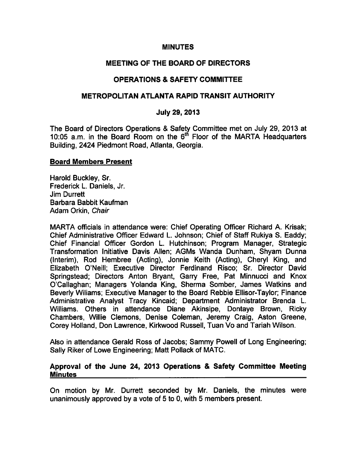#### **MINUTES**

## MEETING OF THE BOARD OF DIRECTORS

## OPERATIONS SAFETY COMMITTEE

#### METROPOLITAN ATLANTA RAPID TRANSIT AUTHORITY

#### July 29, 2013

The Board of Directors Operations & Safety Committee met on July 29, 2013 at 10:05 a.m. in the Board Room on the 6<sup>th</sup> Floor of the MARTA Headquarters Building, 2424 Piedmont Road, Atlanta, Georgia.

#### Board Members Present

Harold Buckley, Sr. Frederick L. Daniels, Jr. Jim Durrett Barbara Babbit Kaufman Adam Orkin, Chair

MARTA officials in attendance were: Chief Operating Officer Richard A. Krisak; Chief Administrative Officer Edward L. Johnson; Chief of Staff Rukiya S. Eaddy; Chief Financial Officer Gordon L. Hutchinson; Program Manager, Strategic Transformation Initiative Davis Allen; AGMs Wanda Dunham, Shyam Dunna (Interim), Rod Hembree (Acting), Jonnie Keith (Acting), Cheryl King, and Elizabeth O'Neill; Executive Director Ferdinand Risco; Sr. Director David Springstead; Directors Anton Bryant, Garry Free, Pat Minnucci and Knox O'Callaghan; Managers Yolanda King, Sherma Somber, James Watkins and Beverly Wiliams; Executive Manager to the Board Rebbie Ellisor-Taylor; Finance Administrative Analyst Tracy Kincaid; Department Administrator Brenda L. Williams. Others in attendance Diane Akinsipe, Dontaye Brown, Ricky Chambers, Willie Clemons, Denise Coleman, Jeremy Craig, Aston Greene, Corey Holland, Don Lawrence, Kirkwood Russell, Tuan Vo and Tariah Wilson.

Also in attendance Gerald Ross of Jacobs; Sammy Powell of Long Engineering; Sally Riker of Lowe Engineering; Matt Pollack of MATC.

#### Approval of the June 24, 2013 Operations & Safety Committee Meeting **Minutes**

On motion by Mr. Durrett seconded by Mr. Daniels, the minutes were unanimously approved by a vote of 5 to 0, with 5 members present.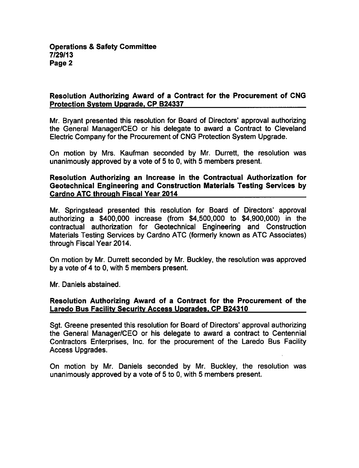## Resolution Authorizing Award of a Contract for the Procurement of CNG Protection System Upgrade. CP B24337

Mr. Bryant presented this resolution for Board of Directors' approval authorizing the General Manager/CEO or his delegate to award a Contract to Cleveland Electric Company for the Procurement of CNG Protection System Upgrade.

On motion by Mrs. Kaufman seconded by Mr. Durrett, the resolution was unanimously approved by a vote of 5 to 0, with 5 members present.

Resolution Authorizing an Increase in the Contractual Authorization for Geotechnical Engineering and Construction Materials Testing Services by Cardno ATC through Fiscal Year 2014

Mr. Springstead presented this resolution for Board of Directors' approval authorizing a \$400,000 increase (from \$4,500,000 to \$4,900,000) in the contractual authorization for Geotechnical Engineering and Construction Materials Testing Services by Cardno ATC (formerly known as ATC Associates) through Fiscal Year 2014.

On motion by Mr. Durrett seconded by Mr. Buckley, the resolution was approved by a vote of 4 to 0, with 5 members present.

Mr. Daniels abstained.

#### Resolution Authorizing Award of a Contract for the Procurement of the Laredo Bus Facility Security Access Upgrades. CP B24310

Sgt. Greene presented this resolution for Board of Directors' approval authorizing the General Manager/CEO or his delegate to award a contract to Centennial Contractors Enterprises, Inc. for the procurement of the Laredo Bus Facility Access Upgrades.

On motion by Mr. Daniels seconded by Mr. Buckley, the resolution was unanimously approved by a vote of 5 to 0, with 5 members present.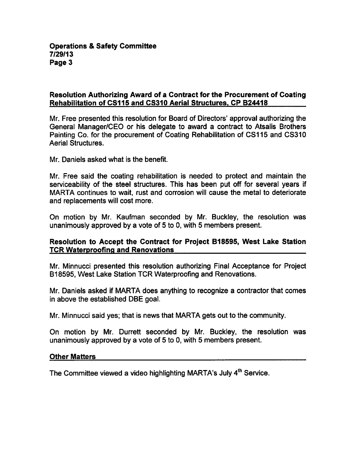## Resolution Authorizing Award of a Contract for the Procurement of Coating Rehabilitation of CS115 and CS310 Aerial Structures. CP B24418

Mr. Free presented this resolution for Board of Directors' approval authorizing the General Manager/CEO or his delegate to award a contract to Atsalis Brothers Painting Co. for the procurement of Coating Rehabilitation of CS115 and CS310 Aerial Structures.

Mr. Daniels asked what is the benefit.

Mr. Free said the coating rehabilitation is needed to protect and maintain the serviceability of the steel structures. This has been put off for several years if MARTA continues to wait, rust and corrosion will cause the metal to deteriorate and replacements will cost more.

On motion by Mr. Kaufman seconded by Mr. Buckley, the resolution was unanimously approved by a vote of 5 to 0, with 5 members present.

## Resolution to Accept the Contract for Project B18595, West Lake Station TCR Waterproofing and Renovations

Mr. Minnucci presented this resolution authorizing Final Acceptance for Project B18595, West Lake Station TCR Waterproofing and Renovations.

Mr. Daniels asked if MARTA does anything to recognize a contractor that comes in above the established DBE goal.

Mr. Minnucci said yes; that is news that MARTA gets out to the community.

On motion by Mr. Durrett seconded by Mr. Buckley, the resolution was unanimously approved by a vote of 5 to 0, with 5 members present.

## Other Matters

The Committee viewed a video highlighting MARTA's July 4<sup>th</sup> Service.